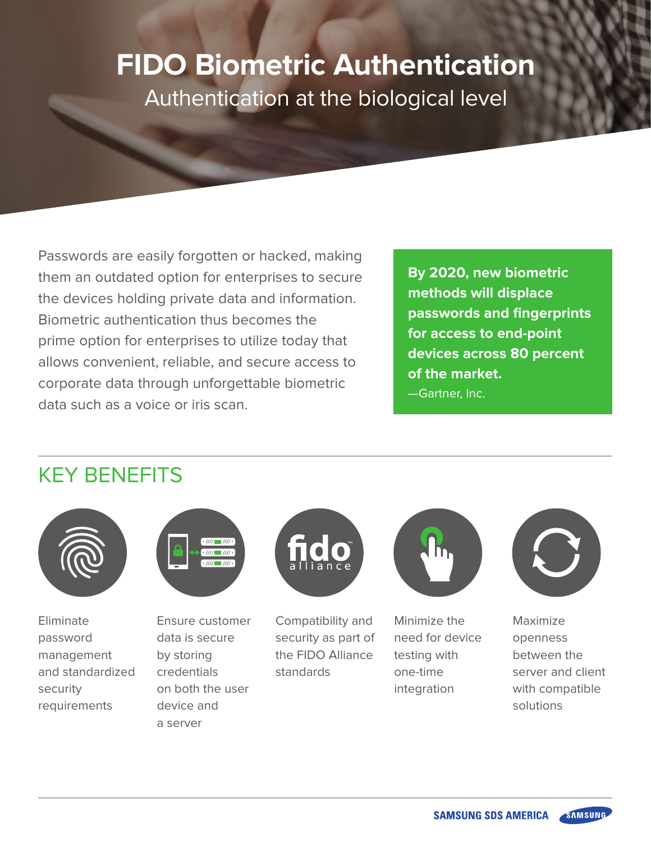# **FIDO Biometric Authentication**  Authentication at the biological level

Passwords are easily forgotten or hacked, making them an outdated option for enterprises to secure the devices holding private data and information. Biometric authentication thus becomes the prime option for enterprises to utilize today that allows convenient, reliable, and secure access to corporate data through unforgettable biometric data such as a voice or iris scan.

**By 2020, new biometric methods will displace passwords and fingerprints for access to end-point devices across 80 percent of the market.** 

—Gartner, Inc.

# KEY BENEFITS



**Eliminate** password management and standardized security requirements



Ensure customer data is secure by storing credentials on both the user device and a server



Compatibility and security as part of the FIDO Alliance standards



Minimize the need for device testing with one-time integration



Maximize openness between the server and client with compatible solutions